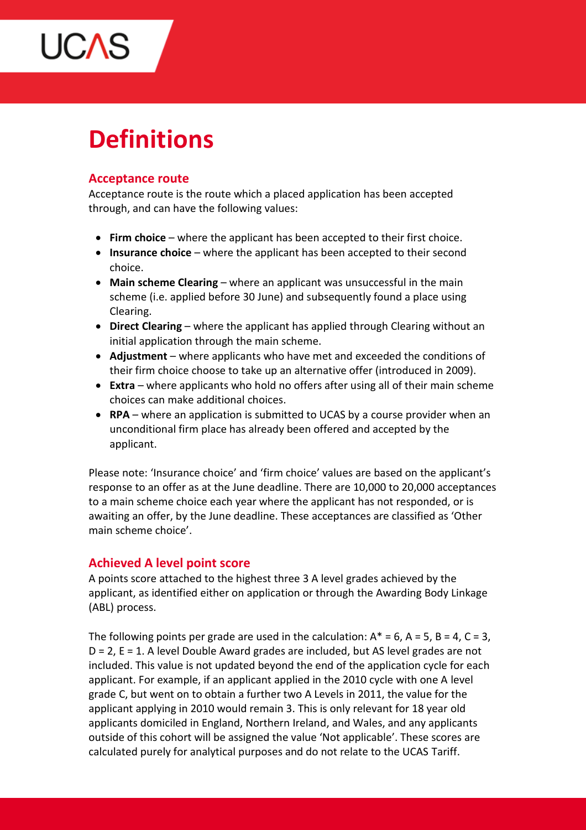

# **Definitions**

# **Acceptance route**

Acceptance route is the route which a placed application has been accepted through, and can have the following values:

- **Firm choice** where the applicant has been accepted to their first choice.
- **Insurance choice** where the applicant has been accepted to their second choice.
- **Main scheme Clearing** where an applicant was unsuccessful in the main scheme (i.e. applied before 30 June) and subsequently found a place using Clearing.
- **Direct Clearing** where the applicant has applied through Clearing without an initial application through the main scheme.
- **Adjustment** where applicants who have met and exceeded the conditions of their firm choice choose to take up an alternative offer (introduced in 2009).
- **Extra** where applicants who hold no offers after using all of their main scheme choices can make additional choices.
- **RPA** where an application is submitted to UCAS by a course provider when an unconditional firm place has already been offered and accepted by the applicant.

Please note: 'Insurance choice' and 'firm choice' values are based on the applicant's response to an offer as at the June deadline. There are 10,000 to 20,000 acceptances to a main scheme choice each year where the applicant has not responded, or is awaiting an offer, by the June deadline. These acceptances are classified as 'Other main scheme choice'.

# **Achieved A level point score**

A points score attached to the highest three 3 A level grades achieved by the applicant, as identified either on application or through the Awarding Body Linkage (ABL) process.

The following points per grade are used in the calculation:  $A^* = 6$ ,  $A = 5$ ,  $B = 4$ ,  $C = 3$ ,  $D = 2$ ,  $E = 1$ . A level Double Award grades are included, but AS level grades are not included. This value is not updated beyond the end of the application cycle for each applicant. For example, if an applicant applied in the 2010 cycle with one A level grade C, but went on to obtain a further two A Levels in 2011, the value for the applicant applying in 2010 would remain 3. This is only relevant for 18 year old applicants domiciled in England, Northern Ireland, and Wales, and any applicants outside of this cohort will be assigned the value 'Not applicable'. These scores are calculated purely for analytical purposes and do not relate to the UCAS Tariff.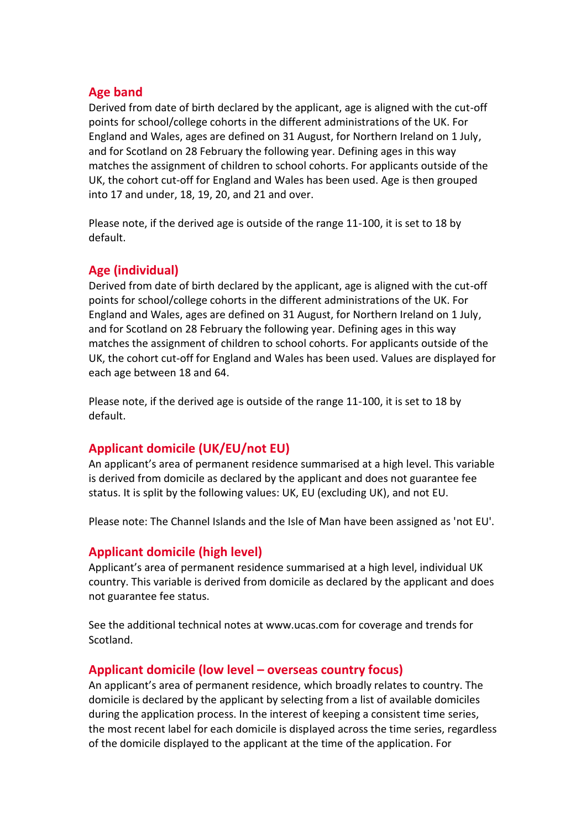## **Age band**

Derived from date of birth declared by the applicant, age is aligned with the cut-off points for school/college cohorts in the different administrations of the UK. For England and Wales, ages are defined on 31 August, for Northern Ireland on 1 July, and for Scotland on 28 February the following year. Defining ages in this way matches the assignment of children to school cohorts. For applicants outside of the UK, the cohort cut-off for England and Wales has been used. Age is then grouped into 17 and under, 18, 19, 20, and 21 and over.

Please note, if the derived age is outside of the range 11-100, it is set to 18 by default.

# **Age (individual)**

Derived from date of birth declared by the applicant, age is aligned with the cut-off points for school/college cohorts in the different administrations of the UK. For England and Wales, ages are defined on 31 August, for Northern Ireland on 1 July, and for Scotland on 28 February the following year. Defining ages in this way matches the assignment of children to school cohorts. For applicants outside of the UK, the cohort cut-off for England and Wales has been used. Values are displayed for each age between 18 and 64.

Please note, if the derived age is outside of the range 11-100, it is set to 18 by default.

# **Applicant domicile (UK/EU/not EU)**

An applicant's area of permanent residence summarised at a high level. This variable is derived from domicile as declared by the applicant and does not guarantee fee status. It is split by the following values: UK, EU (excluding UK), and not EU.

Please note: The Channel Islands and the Isle of Man have been assigned as 'not EU'.

#### **Applicant domicile (high level)**

Applicant's area of permanent residence summarised at a high level, individual UK country. This variable is derived from domicile as declared by the applicant and does not guarantee fee status.

See the additional technical notes at www.ucas.com for coverage and trends for Scotland.

#### **Applicant domicile (low level – overseas country focus)**

An applicant's area of permanent residence, which broadly relates to country. The domicile is declared by the applicant by selecting from a list of available domiciles during the application process. In the interest of keeping a consistent time series, the most recent label for each domicile is displayed across the time series, regardless of the domicile displayed to the applicant at the time of the application. For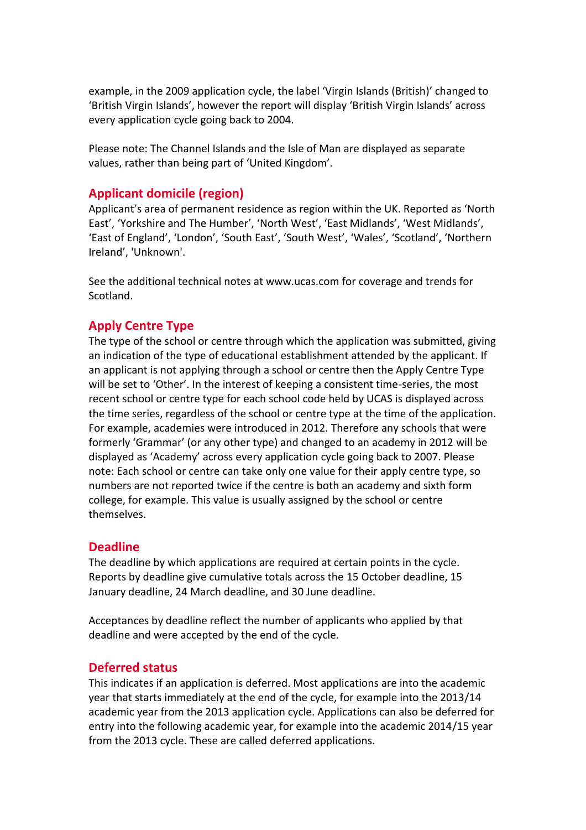example, in the 2009 application cycle, the label 'Virgin Islands (British)' changed to 'British Virgin Islands', however the report will display 'British Virgin Islands' across every application cycle going back to 2004.

Please note: The Channel Islands and the Isle of Man are displayed as separate values, rather than being part of 'United Kingdom'.

# **Applicant domicile (region)**

Applicant's area of permanent residence as region within the UK. Reported as 'North East', 'Yorkshire and The Humber', 'North West', 'East Midlands', 'West Midlands', 'East of England', 'London', 'South East', 'South West', 'Wales', 'Scotland', 'Northern Ireland', 'Unknown'.

See the additional technical notes at www.ucas.com for coverage and trends for Scotland.

# **Apply Centre Type**

The type of the school or centre through which the application was submitted, giving an indication of the type of educational establishment attended by the applicant. If an applicant is not applying through a school or centre then the Apply Centre Type will be set to 'Other'. In the interest of keeping a consistent time-series, the most recent school or centre type for each school code held by UCAS is displayed across the time series, regardless of the school or centre type at the time of the application. For example, academies were introduced in 2012. Therefore any schools that were formerly 'Grammar' (or any other type) and changed to an academy in 2012 will be displayed as 'Academy' across every application cycle going back to 2007. Please note: Each school or centre can take only one value for their apply centre type, so numbers are not reported twice if the centre is both an academy and sixth form college, for example. This value is usually assigned by the school or centre themselves.

# **Deadline**

The deadline by which applications are required at certain points in the cycle. Reports by deadline give cumulative totals across the 15 October deadline, 15 January deadline, 24 March deadline, and 30 June deadline.

Acceptances by deadline reflect the number of applicants who applied by that deadline and were accepted by the end of the cycle.

# **Deferred status**

This indicates if an application is deferred. Most applications are into the academic year that starts immediately at the end of the cycle, for example into the 2013/14 academic year from the 2013 application cycle. Applications can also be deferred for entry into the following academic year, for example into the academic 2014/15 year from the 2013 cycle. These are called deferred applications.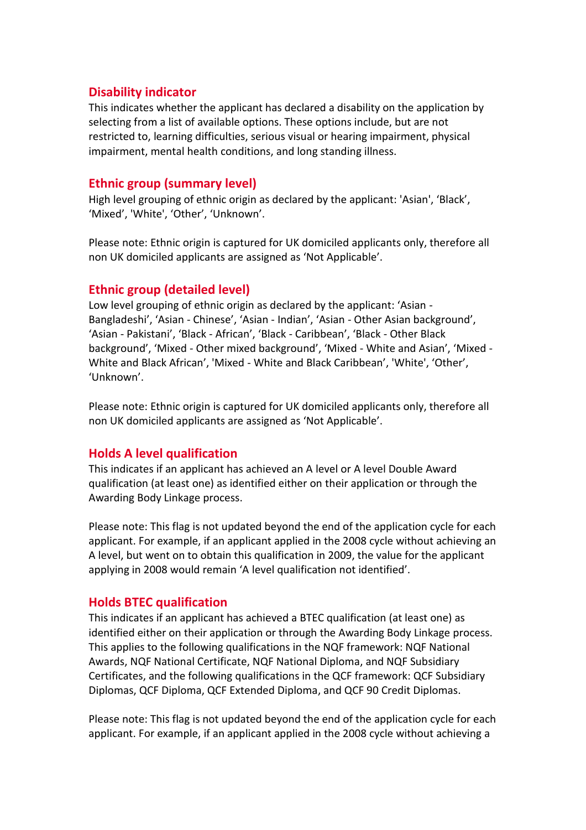# **Disability indicator**

This indicates whether the applicant has declared a disability on the application by selecting from a list of available options. These options include, but are not restricted to, learning difficulties, serious visual or hearing impairment, physical impairment, mental health conditions, and long standing illness.

# **Ethnic group (summary level)**

High level grouping of ethnic origin as declared by the applicant: 'Asian', 'Black', 'Mixed', 'White', 'Other', 'Unknown'.

Please note: Ethnic origin is captured for UK domiciled applicants only, therefore all non UK domiciled applicants are assigned as 'Not Applicable'.

# **Ethnic group (detailed level)**

Low level grouping of ethnic origin as declared by the applicant: 'Asian - Bangladeshi', 'Asian - Chinese', 'Asian - Indian', 'Asian - Other Asian background', 'Asian - Pakistani', 'Black - African', 'Black - Caribbean', 'Black - Other Black background', 'Mixed - Other mixed background', 'Mixed - White and Asian', 'Mixed - White and Black African', 'Mixed - White and Black Caribbean', 'White', 'Other', 'Unknown'.

Please note: Ethnic origin is captured for UK domiciled applicants only, therefore all non UK domiciled applicants are assigned as 'Not Applicable'.

# **Holds A level qualification**

This indicates if an applicant has achieved an A level or A level Double Award qualification (at least one) as identified either on their application or through the Awarding Body Linkage process.

Please note: This flag is not updated beyond the end of the application cycle for each applicant. For example, if an applicant applied in the 2008 cycle without achieving an A level, but went on to obtain this qualification in 2009, the value for the applicant applying in 2008 would remain 'A level qualification not identified'.

# **Holds BTEC qualification**

This indicates if an applicant has achieved a BTEC qualification (at least one) as identified either on their application or through the Awarding Body Linkage process. This applies to the following qualifications in the NQF framework: NQF National Awards, NQF National Certificate, NQF National Diploma, and NQF Subsidiary Certificates, and the following qualifications in the QCF framework: QCF Subsidiary Diplomas, QCF Diploma, QCF Extended Diploma, and QCF 90 Credit Diplomas.

Please note: This flag is not updated beyond the end of the application cycle for each applicant. For example, if an applicant applied in the 2008 cycle without achieving a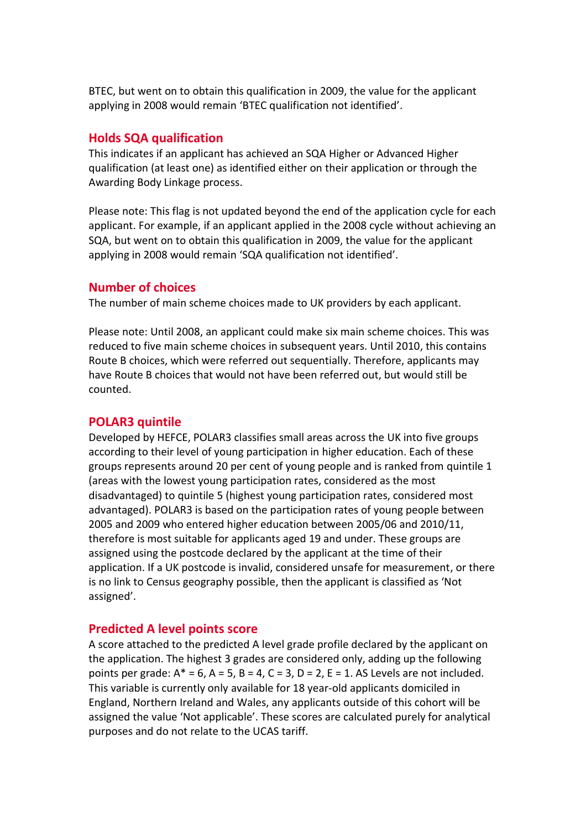BTEC, but went on to obtain this qualification in 2009, the value for the applicant applying in 2008 would remain 'BTEC qualification not identified'.

#### **Holds SQA qualification**

This indicates if an applicant has achieved an SQA Higher or Advanced Higher qualification (at least one) as identified either on their application or through the Awarding Body Linkage process.

Please note: This flag is not updated beyond the end of the application cycle for each applicant. For example, if an applicant applied in the 2008 cycle without achieving an SQA, but went on to obtain this qualification in 2009, the value for the applicant applying in 2008 would remain 'SQA qualification not identified'.

#### **Number of choices**

The number of main scheme choices made to UK providers by each applicant.

Please note: Until 2008, an applicant could make six main scheme choices. This was reduced to five main scheme choices in subsequent years. Until 2010, this contains Route B choices, which were referred out sequentially. Therefore, applicants may have Route B choices that would not have been referred out, but would still be counted.

# **POLAR3 quintile**

Developed by HEFCE, POLAR3 classifies small areas across the UK into five groups according to their level of young participation in higher education. Each of these groups represents around 20 per cent of young people and is ranked from quintile 1 (areas with the lowest young participation rates, considered as the most disadvantaged) to quintile 5 (highest young participation rates, considered most advantaged). POLAR3 is based on the participation rates of young people between 2005 and 2009 who entered higher education between 2005/06 and 2010/11, therefore is most suitable for applicants aged 19 and under. These groups are assigned using the postcode declared by the applicant at the time of their application. If a UK postcode is invalid, considered unsafe for measurement, or there is no link to Census geography possible, then the applicant is classified as 'Not assigned'.

#### **Predicted A level points score**

A score attached to the predicted A level grade profile declared by the applicant on the application. The highest 3 grades are considered only, adding up the following points per grade:  $A^* = 6$ ,  $A = 5$ ,  $B = 4$ ,  $C = 3$ ,  $D = 2$ ,  $E = 1$ . AS Levels are not included. This variable is currently only available for 18 year-old applicants domiciled in England, Northern Ireland and Wales, any applicants outside of this cohort will be assigned the value 'Not applicable'. These scores are calculated purely for analytical purposes and do not relate to the UCAS tariff.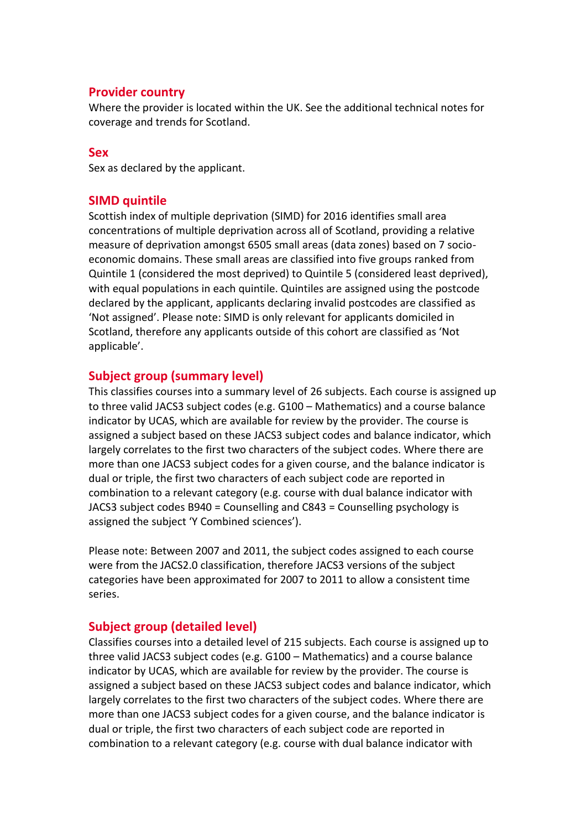# **Provider country**

Where the provider is located within the UK. See the additional technical notes for coverage and trends for Scotland.

#### **Sex**

Sex as declared by the applicant.

## **SIMD quintile**

Scottish index of multiple deprivation (SIMD) for 2016 identifies small area concentrations of multiple deprivation across all of Scotland, providing a relative measure of deprivation amongst 6505 small areas (data zones) based on 7 socioeconomic domains. These small areas are classified into five groups ranked from Quintile 1 (considered the most deprived) to Quintile 5 (considered least deprived), with equal populations in each quintile. Quintiles are assigned using the postcode declared by the applicant, applicants declaring invalid postcodes are classified as 'Not assigned'. Please note: SIMD is only relevant for applicants domiciled in Scotland, therefore any applicants outside of this cohort are classified as 'Not applicable'.

## **Subject group (summary level)**

This classifies courses into a summary level of 26 subjects. Each course is assigned up to three valid JACS3 subject codes (e.g. G100 – Mathematics) and a course balance indicator by UCAS, which are available for review by the provider. The course is assigned a subject based on these JACS3 subject codes and balance indicator, which largely correlates to the first two characters of the subject codes. Where there are more than one JACS3 subject codes for a given course, and the balance indicator is dual or triple, the first two characters of each subject code are reported in combination to a relevant category (e.g. course with dual balance indicator with JACS3 subject codes B940 = Counselling and C843 = Counselling psychology is assigned the subject 'Y Combined sciences').

Please note: Between 2007 and 2011, the subject codes assigned to each course were from the JACS2.0 classification, therefore JACS3 versions of the subject categories have been approximated for 2007 to 2011 to allow a consistent time series.

## **Subject group (detailed level)**

Classifies courses into a detailed level of 215 subjects. Each course is assigned up to three valid JACS3 subject codes (e.g. G100 – Mathematics) and a course balance indicator by UCAS, which are available for review by the provider. The course is assigned a subject based on these JACS3 subject codes and balance indicator, which largely correlates to the first two characters of the subject codes. Where there are more than one JACS3 subject codes for a given course, and the balance indicator is dual or triple, the first two characters of each subject code are reported in combination to a relevant category (e.g. course with dual balance indicator with